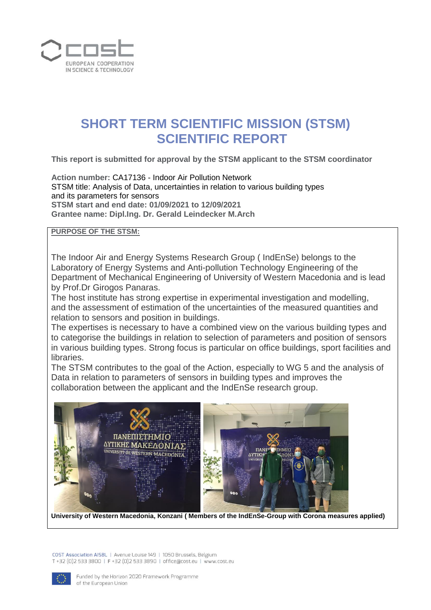

# **SHORT TERM SCIENTIFIC MISSION (STSM) SCIENTIFIC REPORT**

**This report is submitted for approval by the STSM applicant to the STSM coordinator** 

**Action number:** CA17136 - Indoor Air Pollution Network STSM title: Analysis of Data, uncertainties in relation to various building types and its parameters for sensors **STSM start and end date: 01/09/2021 to 12/09/2021 Grantee name: Dipl.Ing. Dr. Gerald Leindecker M.Arch**

#### **PURPOSE OF THE STSM:**

The Indoor Air and Energy Systems Research Group ( IndEnSe) belongs to the Laboratory of Energy Systems and Anti-pollution Technology Engineering of the Department of Mechanical Engineering of University of Western Macedonia and is lead by Prof.Dr Girogos Panaras.

The host institute has strong expertise in experimental investigation and modelling, and the assessment of estimation of the uncertainties of the measured quantities and relation to sensors and position in buildings.

The expertises is necessary to have a combined view on the various building types and to categorise the buildings in relation to selection of parameters and position of sensors in various building types. Strong focus is particular on office buildings, sport facilities and libraries.

The STSM contributes to the goal of the Action, especially to WG 5 and the analysis of Data in relation to parameters of sensors in building types and improves the collaboration between the applicant and the IndEnSe research group.



**University of Western Macedonia, Konzani ( Members of the IndEnSe-Group with Corona measures applied)**

COST Association AISBL | Avenue Louise 149 | 1050 Brussels, Belgium T+32 (0)2 533 3800 | F+32 (0)2 533 3890 | office@cost.eu | www.cost.eu

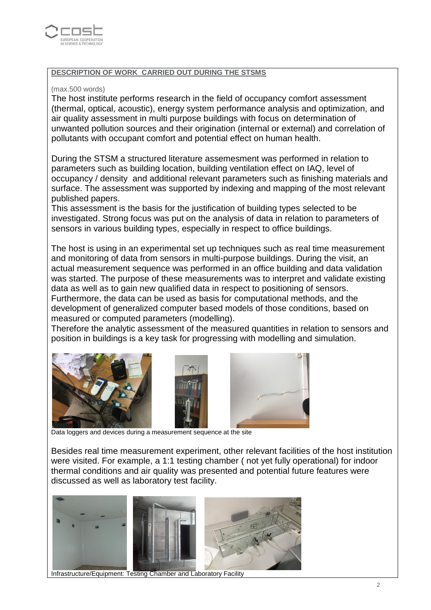

## **DESCRIPTION OF WORK CARRIED OUT DURING THE STSMS**

#### (max.500 words)

The host institute performs research in the field of occupancy comfort assessment (thermal, optical, acoustic), energy system performance analysis and optimization, and air quality assessment in multi purpose buildings with focus on determination of unwanted pollution sources and their origination (internal or external) and correlation of pollutants with occupant comfort and potential effect on human health.

During the STSM a structured literature assemesment was performed in relation to parameters such as building location, building ventilation effect on IAQ, level of occupancy / density and additional relevant parameters such as finishing materials and surface. The assessment was supported by indexing and mapping of the most relevant published papers.

This assessment is the basis for the justification of building types selected to be investigated. Strong focus was put on the analysis of data in relation to parameters of sensors in various building types, especially in respect to office buildings.

The host is using in an experimental set up techniques such as real time measurement and monitoring of data from sensors in multi-purpose buildings. During the visit, an actual measurement sequence was performed in an office building and data validation was started. The purpose of these measurements was to interpret and validate existing data as well as to gain new qualified data in respect to positioning of sensors. Furthermore, the data can be used as basis for computational methods, and the development of generalized computer based models of those conditions, based on measured or computed parameters (modelling).

Therefore the analytic assessment of the measured quantities in relation to sensors and position in buildings is a key task for progressing with modelling and simulation.



Data loggers and devices during a measurement sequence at the site

Besides real time measurement experiment, other relevant facilities of the host institution were visited. For example, a 1:1 testing chamber ( not yet fully operational) for indoor thermal conditions and air quality was presented and potential future features were discussed as well as laboratory test facility.



Infrastructure/Equipment: Testing Chamber and Laboratory Facility